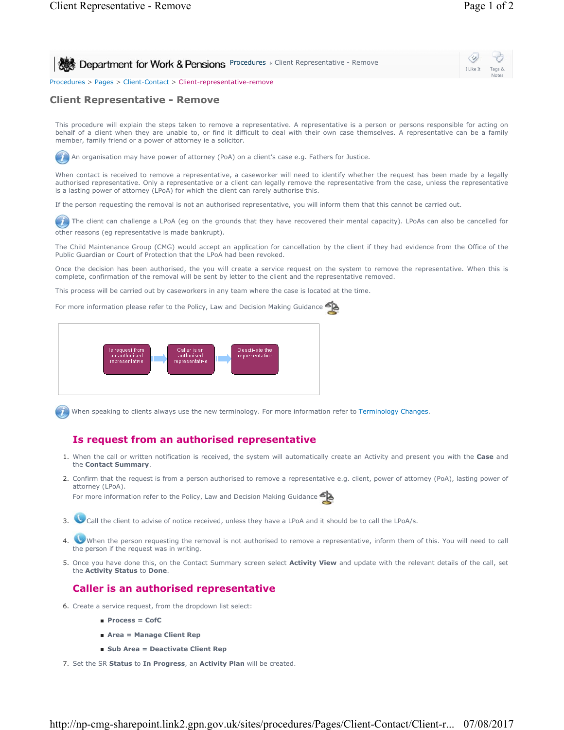**Procedures > Client Representative - Remove Client Representative - Remove** I Like It Tags & Notes Procedures > Pages > Client-Contact > Client-representative-remove

# **Client Representative - Remove**

This procedure will explain the steps taken to remove a representative. A representative is a person or persons responsible for acting on behalf of a client when they are unable to, or find it difficult to deal with their own case themselves. A representative can be a family member, family friend or a power of attorney ie a solicitor.

An organisation may have power of attorney (PoA) on a client's case e.g. Fathers for Justice.

When contact is received to remove a representative, a caseworker will need to identify whether the request has been made by a legally authorised representative. Only a representative or a client can legally remove the representative from the case, unless the representative is a lasting power of attorney (LPoA) for which the client can rarely authorise this.

If the person requesting the removal is not an authorised representative, you will inform them that this cannot be carried out.

The client can challenge a LPoA (eg on the grounds that they have recovered their mental capacity). LPoAs can also be cancelled for other reasons (eg representative is made bankrupt).

The Child Maintenance Group (CMG) would accept an application for cancellation by the client if they had evidence from the Office of the Public Guardian or Court of Protection that the LPoA had been revoked.

Once the decision has been authorised, the you will create a service request on the system to remove the representative. When this is complete, confirmation of the removal will be sent by letter to the client and the representative removed.

This process will be carried out by caseworkers in any team where the case is located at the time.

For more information please refer to the Policy, Law and Decision Making Guidance



When speaking to clients always use the new terminology. For more information refer to Terminology Changes.

## **Is request from an authorised representative**

- 1. When the call or written notification is received, the system will automatically create an Activity and present you with the **Case** and the **Contact Summary**.
- Confirm that the request is from a person authorised to remove a representative e.g. client, power of attorney (PoA), lasting power of 2. attorney (LPoA).

For more information refer to the Policy, Law and Decision Making Guidance

- 3. Call the client to advise of notice received, unless they have a LPoA and it should be to call the LPoA/s.
- When the person requesting the removal is not authorised to remove a representative, inform them of this. You will need to call the person if the request was in writing. 4.
- 5. Once you have done this, on the Contact Summary screen select **Activity View** and update with the relevant details of the call, set the **Activity Status** to **Done**.

### **Caller is an authorised representative**

- 6. Create a service request, from the dropdown list select:
	- **Process = CofC**
	- **Area = Manage Client Rep**
	- **Sub Area = Deactivate Client Rep**
- 7. Set the SR **Status** to **In Progress**, an **Activity Plan** will be created.